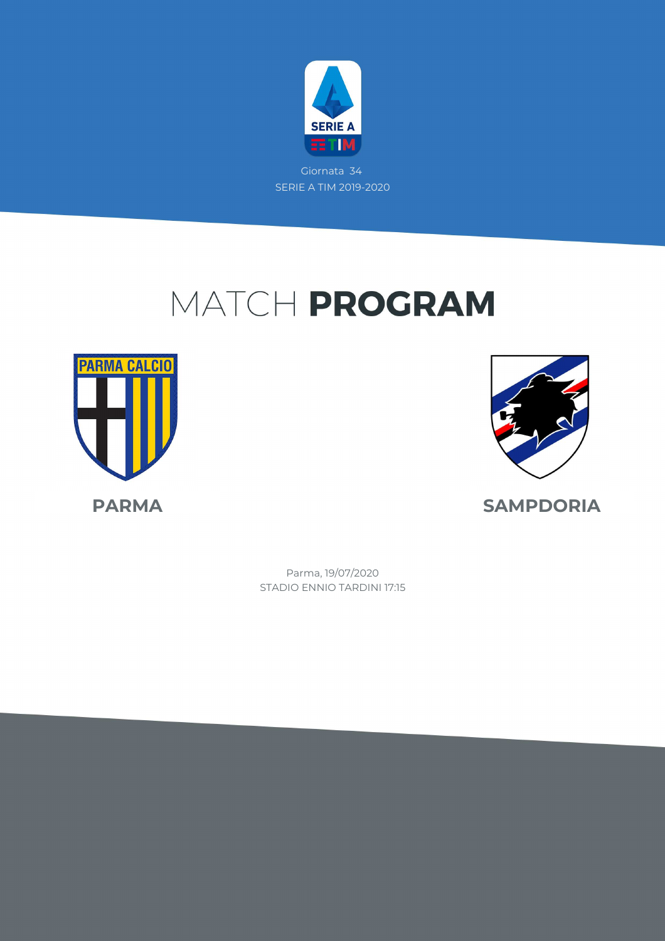

Giornata 34 SERIE A TIM 2019-2020

## MATCH PROGRAM





**PARMA SAMPDORIA**

STADIO ENNIO TARDINI 17:15 Parma, 19/07/2020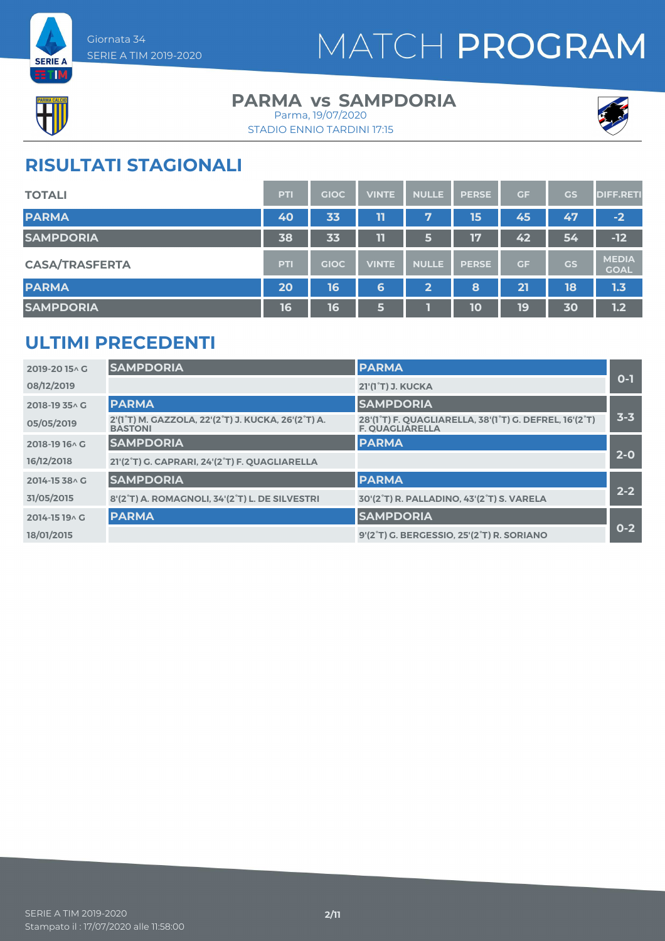



### **PARMA vs SAMPDORIA** Parma, 19/07/2020





## **RISULTATI STAGIONALI**

| <b>TOTALI</b>         | PTI        | <b>GIOC</b> | <b>VINTE</b> | <b>NULLE</b>          | <b>PERSE</b> | <b>GF</b> | GS        | <b>DIFF.RETI</b>            |
|-----------------------|------------|-------------|--------------|-----------------------|--------------|-----------|-----------|-----------------------------|
| <b>PARMA</b>          | 40         | 33          | 11           | 7                     | 15           | 45        | 47        | $-2$                        |
| <b>SAMPDORIA</b>      | 38         | 33          | 11           | 6                     | 17           | 42        | 54        | $-12$                       |
| <b>CASA/TRASFERTA</b> | <b>PTI</b> | <b>GIOC</b> | <b>VINTE</b> | <b>NULLE</b>          | <b>PERSE</b> | GF        | <b>GS</b> | <b>MEDIA</b><br><b>GOAL</b> |
| <b>PARMA</b>          | 20         | 16          | 6            | $\mathbf{2}^{\prime}$ | 8            | 21        | 18        | 1.3                         |
| <b>SAMPDORIA</b>      | 16         | 16          | 6            |                       | 10           | 19        | 30        | 1.2                         |

### **ULTIMI PRECEDENTI**

| 2019-2015^G    | <b>SAMPDORIA</b>                                                     | <b>PARMA</b>                                                                                                            |         |
|----------------|----------------------------------------------------------------------|-------------------------------------------------------------------------------------------------------------------------|---------|
| 08/12/2019     |                                                                      | 21'(1 <sup>°</sup> T) J. KUCKA                                                                                          | $O-1$   |
| 2018-19 35 A G | <b>PARMA</b>                                                         | <b>SAMPDORIA</b>                                                                                                        |         |
| 05/05/2019     | 2'(1°T) M. GAZZOLA, 22'(2°T) J. KUCKA, 26'(2°T) A.<br><b>BASTONI</b> | 28'(1 <sup>°</sup> T) F. QUAGLIARELLA, 38'(1 <sup>°</sup> T) G. DEFREL, 16'(2 <sup>°</sup> T)<br><b>F. OUAGLIARELLA</b> | 3-3     |
| 2018-19 16 \ G | <b>SAMPDORIA</b>                                                     | <b>PARMA</b>                                                                                                            |         |
| 16/12/2018     | 21'(2°T) G. CAPRARI, 24'(2°T) F. QUAGLIARELLA                        |                                                                                                                         | $2 - 0$ |
| 2014-15 38 \ G | <b>SAMPDORIA</b>                                                     | <b>PARMA</b>                                                                                                            |         |
| 31/05/2015     | 8'(2°T) A. ROMAGNOLI, 34'(2°T) L. DE SILVESTRI                       | 30'(2°T) R. PALLADINO, 43'(2°T) S. VARELA                                                                               | $2 - 2$ |
| 2014-15 19 A G | <b>PARMA</b>                                                         | <b>SAMPDORIA</b>                                                                                                        |         |
| 18/01/2015     |                                                                      | 9'(2°T) G. BERGESSIO, 25'(2°T) R. SORIANO                                                                               | $0 - 2$ |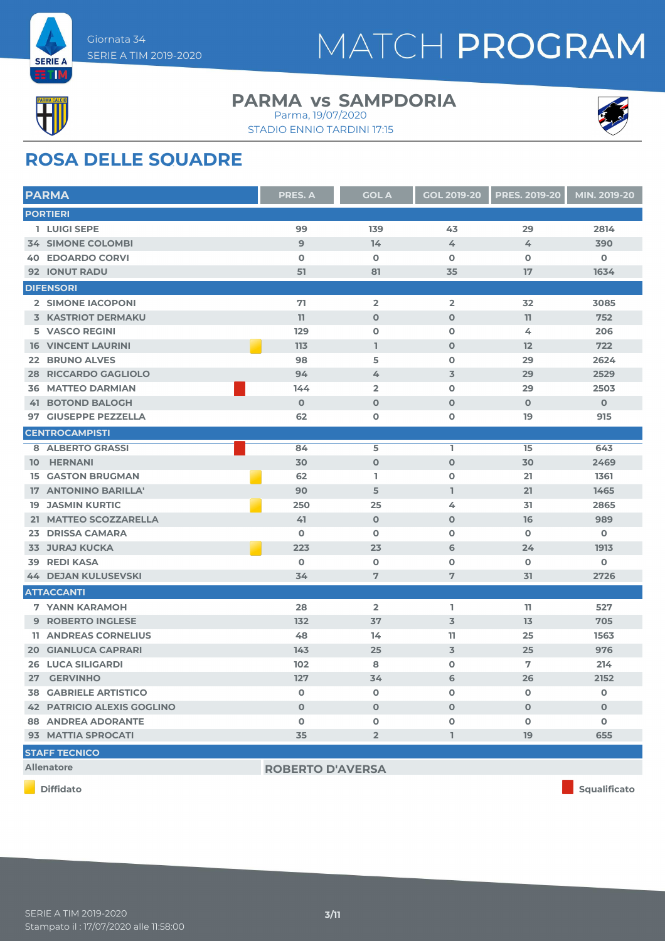

#### **PARMA vs SAMPDORIA** Parma, 19/07/2020





## **ROSA DELLE SQUADRE**

| <b>PARMA</b>                      | <b>PRES. A</b> | <b>GOL A</b>            | <b>GOL 2019-20</b> | <b>PRES. 2019-20</b> | MIN. 2019-20 |
|-----------------------------------|----------------|-------------------------|--------------------|----------------------|--------------|
| <b>PORTIERI</b>                   |                |                         |                    |                      |              |
| 1 LUIGI SEPE                      | 99             | 139                     | 43                 | 29                   | 2814         |
| <b>34 SIMONE COLOMBI</b>          | 9              | 14                      | 4                  | 4                    | 390          |
| <b>40 EDOARDO CORVI</b>           | $\mathbf 0$    | $\mathbf 0$             | $\mathbf 0$        | $\mathbf 0$          | $\mathbf 0$  |
| <b>92 IONUT RADU</b>              | 51             | 81                      | 35                 | 17                   | 1634         |
| <b>DIFENSORI</b>                  |                |                         |                    |                      |              |
| 2 SIMONE IACOPONI                 | 71             | $\overline{\mathbf{2}}$ | $\overline{2}$     | 32                   | 3085         |
| 3 KASTRIOT DERMAKU                | 11             | $\mathbf 0$             | $\mathbf 0$        | 11                   | 752          |
| 5 VASCO REGINI                    | 129            | $\mathbf 0$             | $\mathbf 0$        | 4                    | 206          |
| <b>16 VINCENT LAURINI</b>         | 113            | L                       | $\Omega$           | 12                   | 722          |
| <b>22 BRUNO ALVES</b>             | 98             | 5                       | $\mathbf 0$        | 29                   | 2624         |
| <b>28 RICCARDO GAGLIOLO</b>       | 94             | 4                       | 3                  | 29                   | 2529         |
| <b>36 MATTEO DARMIAN</b>          | 144            | $\overline{\mathbf{2}}$ | $\mathbf 0$        | 29                   | 2503         |
| <b>41 BOTOND BALOGH</b>           | $\Omega$       | $\Omega$                | $\Omega$           | $\Omega$             | $\Omega$     |
| 97 GIUSEPPE PEZZELLA              | 62             | $\mathbf 0$             | $\mathbf 0$        | 19                   | 915          |
| <b>CENTROCAMPISTI</b>             |                |                         |                    |                      |              |
| 8 ALBERTO GRASSI                  | 84             | 5                       | L                  | 15                   | 643          |
| 10 HERNANI                        | 30             | $\mathbf 0$             | $\mathbf 0$        | 30                   | 2469         |
| <b>15 GASTON BRUGMAN</b>          | 62             | I.                      | $\mathbf 0$        | 21                   | 1361         |
| 17 ANTONINO BARILLA'              | 90             | 5                       | $\mathbf{I}$       | 21                   | 1465         |
| <b>19 JASMIN KURTIC</b>           | 250            | 25                      | 4                  | 31                   | 2865         |
| 21 MATTEO SCOZZARELLA             | 41             | $\mathbf{O}$            | $\mathbf 0$        | 16                   | 989          |
| 23 DRISSA CAMARA                  | $\Omega$       | $\Omega$                | $\mathbf 0$        | $\Omega$             | $\mathbf 0$  |
| <b>33 JURAJ KUCKA</b>             | 223            | 23                      | 6                  | 24                   | 1913         |
| <b>39 REDI KASA</b>               | $\mathbf 0$    | $\mathbf 0$             | $\mathbf 0$        | $\mathbf 0$          | $\mathbf 0$  |
| <b>44 DEJAN KULUSEVSKI</b>        | 34             | 7                       | 7                  | 31                   | 2726         |
| <b>ATTACCANTI</b>                 |                |                         |                    |                      |              |
| <b>7 YANN KARAMOH</b>             | 28             | $\overline{2}$          | I.                 | 11                   | 527          |
| <b>9 ROBERTO INGLESE</b>          | 132            | 37                      | 3                  | 13                   | 705          |
| <b>11 ANDREAS CORNELIUS</b>       | 48             | 14                      | 11                 | 25                   | 1563         |
| <b>20 GIANLUCA CAPRARI</b>        | 143            | 25                      | $\overline{3}$     | 25                   | 976          |
| <b>26 LUCA SILIGARDI</b>          | 102            | 8                       | $\mathbf 0$        | 7                    | 214          |
| 27 GERVINHO                       | 127            | 34                      | 6                  | 26                   | 2152         |
| <b>38 GABRIELE ARTISTICO</b>      | $\mathbf 0$    | $\mathbf 0$             | $\mathbf 0$        | $\mathbf 0$          | 0            |
| <b>42 PATRICIO ALEXIS GOGLINO</b> | $\Omega$       | $\mathbf 0$             | $\Omega$           | $\mathbf 0$          | $\mathbf 0$  |
| <b>88 ANDREA ADORANTE</b>         | $\mathbf 0$    | $\mathbf 0$             | $\mathbf 0$        | $\mathbf 0$          | $\mathbf 0$  |
| 93 MATTIA SPROCATI                | 35             | $\overline{2}$          | T.                 | 19                   | 655          |
| <b>STAFF TECNICO</b>              |                |                         |                    |                      |              |
|                                   |                |                         |                    |                      |              |

**Allenatore ROBERTO D'AVERSA**

**Diffidato Squalificato**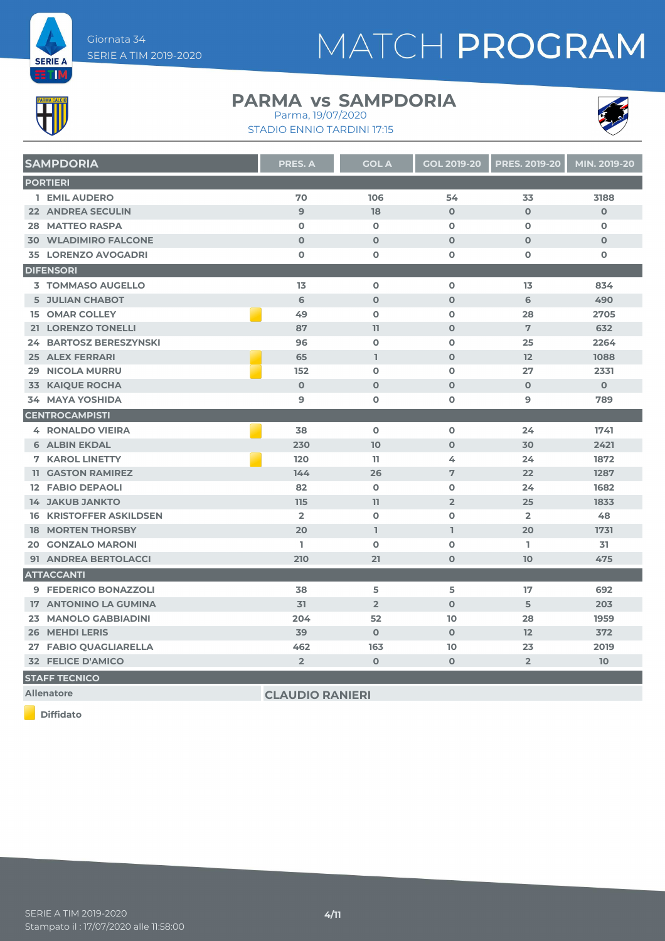



#### **PARMA vs SAMPDORIA** Parma, 19/07/2020

STADIO ENNIO TARDINI 17:15



|    | <b>SAMPDORIA</b>               | PRES. A        | <b>GOL A</b>   | <b>GOL 2019-20</b> | <b>PRES. 2019-20</b> | MIN. 2019-20 |
|----|--------------------------------|----------------|----------------|--------------------|----------------------|--------------|
|    | <b>PORTIERI</b>                |                |                |                    |                      |              |
|    | 1 EMIL AUDERO                  | 70             | 106            | 54                 | 33                   | 3188         |
|    | <b>22 ANDREA SECULIN</b>       | $\mathbf{9}$   | 18             | $\mathbf 0$        | $\Omega$             | $\mathbf 0$  |
|    | <b>28 MATTEO RASPA</b>         | $\Omega$       | $\mathbf 0$    | $\Omega$           | $\Omega$             | $\mathbf 0$  |
|    | <b>30 WLADIMIRO FALCONE</b>    | $\mathbf{O}$   | $\mathbf{O}$   | $\mathbf 0$        | $\mathbf{O}$         | $\mathbf 0$  |
|    | <b>35 LORENZO AVOGADRI</b>     | $\mathbf 0$    | $\mathbf 0$    | 0                  | 0                    | $\mathbf 0$  |
|    | <b>DIFENSORI</b>               |                |                |                    |                      |              |
|    | <b>3 TOMMASO AUGELLO</b>       | 13             | $\mathbf 0$    | $\mathbf 0$        | 13                   | 834          |
|    | <b>5 JULIAN CHABOT</b>         | 6              | $\mathbf 0$    | $\mathbf{O}$       | 6                    | 490          |
|    | <b>15 OMAR COLLEY</b>          | 49             | $\Omega$       | $\mathbf{O}$       | 28                   | 2705         |
|    | 21 LORENZO TONELLI             | 87             | 11             | $\mathbf{O}$       | 7                    | 632          |
|    | <b>24 BARTOSZ BERESZYNSKI</b>  | 96             | $\mathbf 0$    | $\mathbf 0$        | 25                   | 2264         |
|    | <b>25 ALEX FERRARI</b>         | 65             | L              | $\mathbf 0$        | 12                   | 1088         |
|    | <b>29 NICOLA MURRU</b>         | 152            | $\Omega$       | $\Omega$           | 27                   | 2331         |
| 33 | <b>KAIQUE ROCHA</b>            | $\mathbf 0$    | $\mathbf{O}$   | $\mathbf 0$        | $\mathbf{O}$         | $\mathbf{O}$ |
|    | <b>34 MAYA YOSHIDA</b>         | 9              | $\mathbf 0$    | $\mathbf o$        | 9                    | 789          |
|    | <b>CENTROCAMPISTI</b>          |                |                |                    |                      |              |
|    | <b>4 RONALDO VIEIRA</b>        | 38             | $\mathbf 0$    | 0                  | 24                   | 1741         |
|    | <b>6 ALBIN EKDAL</b>           | 230            | 10             | $\Omega$           | 30                   | 2421         |
|    | <b>7 KAROL LINETTY</b>         | 120            | 11             | 4                  | 24                   | 1872         |
|    | <b>11 GASTON RAMIREZ</b>       | 144            | 26             | 7                  | 22                   | 1287         |
|    | <b>12 FABIO DEPAOLI</b>        | 82             | $\mathbf 0$    | $\mathbf 0$        | 24                   | 1682         |
|    | <b>14 JAKUB JANKTO</b>         | 115            | 11             | $\overline{2}$     | 25                   | 1833         |
|    | <b>16 KRISTOFFER ASKILDSEN</b> | $\overline{2}$ | $\Omega$       | $\Omega$           | $\overline{2}$       | 48           |
|    | <b>18 MORTEN THORSBY</b>       | 20             | I.             | $\mathbf{I}$       | 20                   | 1731         |
|    | <b>20 GONZALO MARONI</b>       | L              | $\mathbf 0$    | $\mathbf 0$        | T.                   | 31           |
|    | 91 ANDREA BERTOLACCI           | 210            | 21             | $\mathbf 0$        | 10                   | 475          |
|    | <b>ATTACCANTI</b>              |                |                |                    |                      |              |
|    | 9 FEDERICO BONAZZOLI           | 38             | 5              | 5                  | 17                   | 692          |
|    | 17 ANTONINO LA GUMINA          | 31             | $\overline{2}$ | $\overline{0}$     | 5                    | 203          |
|    | 23 MANOLO GABBIADINI           | 204            | 52             | 10                 | 28                   | 1959         |
|    | <b>26 MEHDI LERIS</b>          | 39             | $\mathbf{O}$   | $\mathbf 0$        | 12                   | 372          |
|    | 27 FABIO QUAGLIARELLA          | 462            | 163            | 10                 | 23                   | 2019         |
|    | <b>32 FELICE D'AMICO</b>       | $\overline{2}$ | $\mathbf{O}$   | $\mathbf 0$        | $\overline{2}$       | 10           |

**STAFF TECNICO**

**Allenatore CLAUDIO RANIERI**

**Diffidato**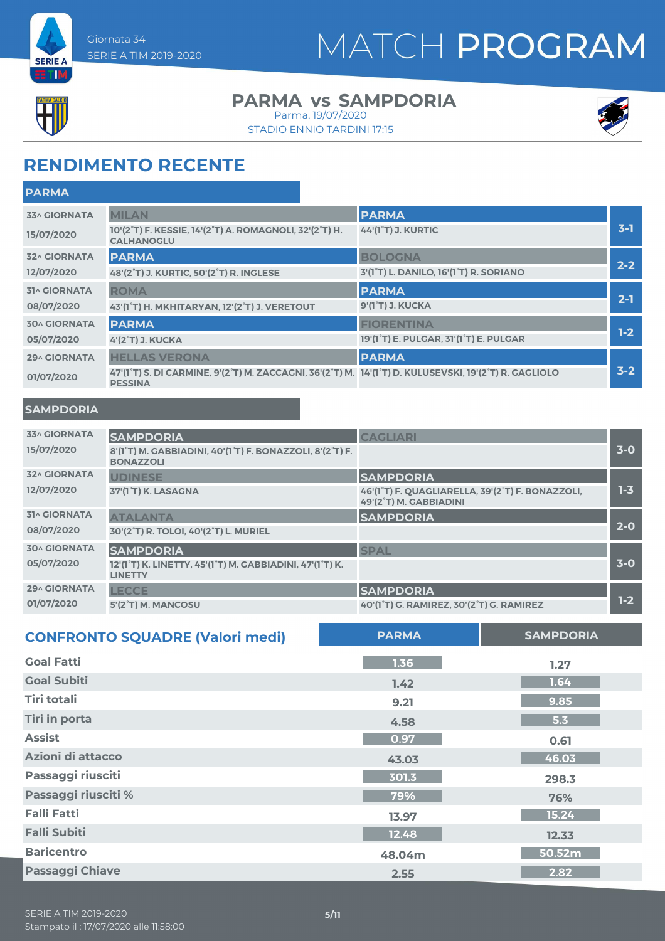



### **PARMA vs SAMPDORIA**

STADIO ENNIO TARDINI 17:15 Parma, 19/07/2020



## **RENDIMENTO RECENTE**

| <b>PARMA</b>        |                                                                                                                         |                                                                  |         |
|---------------------|-------------------------------------------------------------------------------------------------------------------------|------------------------------------------------------------------|---------|
| <b>33^ GIORNATA</b> | <b>MILAN</b>                                                                                                            | <b>PARMA</b>                                                     |         |
| 15/07/2020          | 10'(2°T) F. KESSIE, 14'(2°T) A. ROMAGNOLI, 32'(2°T) H.<br><b>CALHANOGLU</b>                                             | <b>44'(1°T) J. KURTIC</b>                                        | $3-1$   |
| <b>32^ GIORNATA</b> | <b>PARMA</b>                                                                                                            | <b>BOLOGNA</b>                                                   |         |
| 12/07/2020          | 48'(2°T) J. KURTIC, 50'(2°T) R. INGLESE                                                                                 | 3'(1 <sup>°</sup> T) L. DANILO, 16'(1 <sup>°</sup> T) R. SORIANO | $2 - 2$ |
| <b>31^ GIORNATA</b> | <b>ROMA</b>                                                                                                             | <b>PARMA</b>                                                     |         |
| 08/07/2020          | 43'(1°T) H. MKHITARYAN, 12'(2°T) J. VERETOUT                                                                            | 9'(1°T) J. KUCKA                                                 | $2 - 1$ |
| <b>30^ GIORNATA</b> | <b>PARMA</b>                                                                                                            | <b>FIORENTINA</b>                                                |         |
| 05/07/2020          | 4'(2°T) J. KUCKA                                                                                                        | 19'(1°T) E. PULGAR, 31'(1°T) E. PULGAR                           | $1-2$   |
| 29^ GIORNATA        | <b>HELLAS VERONA</b>                                                                                                    | <b>PARMA</b>                                                     |         |
| 01/07/2020          | 47'(1°T) S. DI CARMINE, 9'(2°T) M. ZACCAGNI, 36'(2°T) M. 14'(1°T) D. KULUSEVSKI, 19'(2°T) R. GAGLIOLO<br><b>PESSINA</b> |                                                                  | $3 - 2$ |

#### **SAMPDORIA**

| <b>33^ GIORNATA</b> | <b>SAMPDORIA</b>                                                             | <b>CAGLIARI</b>                                                            |         |
|---------------------|------------------------------------------------------------------------------|----------------------------------------------------------------------------|---------|
| 15/07/2020          | 8'(1°T) M. GABBIADINI, 40'(1°T) F. BONAZZOLI, 8'(2°T) F.<br><b>BONAZZOLI</b> |                                                                            | $3-0$   |
| <b>32^ GIORNATA</b> | <b>UDINESE</b>                                                               | <b>SAMPDORIA</b>                                                           |         |
| 12/07/2020          | 37'(1°T) K. LASAGNA                                                          | 46'(1°T) F. QUAGLIARELLA, 39'(2°T) F. BONAZZOLI,<br>49'(2°T) M. GABBIADINI | $1 - 3$ |
| <b>31^ GIORNATA</b> | <b>ATALANTA</b>                                                              | <b>SAMPDORIA</b>                                                           |         |
| 08/07/2020          | 30'(2°T) R. TOLOI, 40'(2°T) L. MURIEL                                        |                                                                            | $2 - 0$ |
| <b>30^ GIORNATA</b> | <b>SAMPDORIA</b>                                                             | <b>SPAL</b>                                                                |         |
| 05/07/2020          | 12'(1°T) K. LINETTY, 45'(1°T) M. GABBIADINI, 47'(1°T) K.<br><b>LINETTY</b>   |                                                                            | $3-0$   |
| <b>29^ GIORNATA</b> | <b>LECCE</b>                                                                 | <b>SAMPDORIA</b>                                                           |         |
| 01/07/2020          | 5'(2°T) M. MANCOSU                                                           | 40'(1 <sup>°</sup> T) G. RAMIREZ, 30'(2 <sup>°</sup> T) G. RAMIREZ         | $1-2$   |

| <b>CONFRONTO SQUADRE (Valori medi)</b> | <b>PARMA</b> | <b>SAMPDORIA</b> |
|----------------------------------------|--------------|------------------|
| <b>Goal Fatti</b>                      | 1.36         | 1.27             |
| <b>Goal Subiti</b>                     | 1.42         | 1.64             |
| <b>Tiri totali</b>                     | 9.21         | 9.85             |
| <b>Tiri in porta</b>                   | 4.58         | 5.3              |
| <b>Assist</b>                          | 0.97         | 0.61             |
| Azioni di attacco                      | 43.03        | 46.03            |
| Passaggi riusciti                      | 301.3        | 298.3            |
| Passaggi riusciti %                    | 79%          | 76%              |
| <b>Falli Fatti</b>                     | 13.97        | 15.24            |
| <b>Falli Subiti</b>                    | 12.48        | 12.33            |
| <b>Baricentro</b>                      | 48.04m       | 50.52m           |
| <b>Passaggi Chiave</b>                 | 2.55         | 2.82             |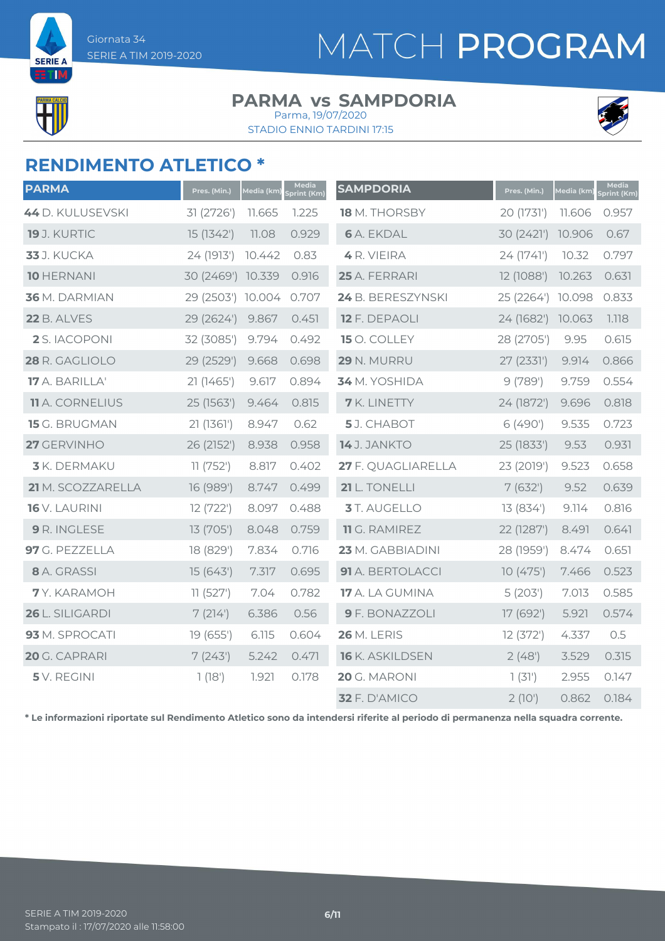

**SERIE** 

## MATCH PROGRAM

#### **PARMA vs SAMPDORIA** Parma, 19/07/2020

STADIO ENNIO TARDINI 17:15



### **RENDIMENTO ATLETICO \***

| <b>PARMA</b>           | Pres. (Min.)      | Media (km) | Media<br>Sprint (Km) | <b>SAMPDORIA</b>     | Pres. (Min.) | <u>Media (km)</u> | Media<br>Sprint (Km) |
|------------------------|-------------------|------------|----------------------|----------------------|--------------|-------------------|----------------------|
| 44 D. KULUSEVSKI       | 31 (2726')        | 11.665     | 1.225                | <b>18</b> M. THORSBY | 20 (1731')   | 11.606            | 0.957                |
| <b>19</b> J. KURTIC    | 15 (1342')        | 11.08      | 0.929                | <b>6</b> A. EKDAL    | 30 (2421')   | 10.906            | 0.67                 |
| <b>33</b> J. KUCKA     | 24 (1913')        | 10.442     | 0.83                 | 4 R. VIEIRA          | 24 (1741')   | 10.32             | 0.797                |
| <b>10 HERNANI</b>      | 30 (2469') 10.339 |            | 0.916                | 25 A. FERRARI        | 12 (1088')   | 10.263            | 0.631                |
| 36 M. DARMIAN          | 29 (2503') 10.004 |            | 0.707                | 24 B. BERESZYNSKI    | 25 (2264')   | 10.098            | 0.833                |
| <b>22 B. ALVES</b>     | 29 (2624')        | 9.867      | 0.451                | 12 F. DEPAOLI        | 24 (1682')   | 10.063            | 1.118                |
| 2 S. IACOPONI          | 32 (3085')        | 9.794      | 0.492                | 15 O. COLLEY         | 28 (2705')   | 9.95              | 0.615                |
| 28 R. GAGLIOLO         | 29 (2529')        | 9.668      | 0.698                | 29 N. MURRU          | 27 (2331')   | 9.914             | 0.866                |
| 17 A. BARILLA'         | 21 (1465')        | 9.617      | 0.894                | 34 M. YOSHIDA        | 9(789)       | 9.759             | 0.554                |
| <b>11</b> A. CORNELIUS | 25 (1563')        | 9.464      | 0.815                | <b>7</b> K. LINETTY  | 24 (1872')   | 9.696             | 0.818                |
| 15 G. BRUGMAN          | 21(1361)          | 8.947      | 0.62                 | 5J. CHABOT           | 6(490)       | 9.535             | 0.723                |
| 27 GERVINHO            | 26 (2152')        | 8.938      | 0.958                | 14 J. JANKTO         | 25 (1833')   | 9.53              | 0.931                |
| <b>3</b> K. DERMAKU    | 11(752)           | 8.817      | 0.402                | 27 F. QUAGLIARELLA   | 23 (2019')   | 9.523             | 0.658                |
| 21 M. SCOZZARELLA      | 16 (989')         | 8.747      | 0.499                | 21 L. TONELLI        | 7(632)       | 9.52              | 0.639                |
| 16 V. LAURINI          | 12 (722')         | 8.097      | 0.488                | 3 T. AUGELLO         | 13 (834')    | 9.114             | 0.816                |
| 9 R. INGLESE           | 13 (705')         | 8.048      | 0.759                | 11 G. RAMIREZ        | 22 (1287')   | 8.491             | 0.641                |
| 97 G. PEZZELLA         | 18 (829')         | 7.834      | 0.716                | 23 M. GABBIADINI     | 28 (1959')   | 8.474             | 0.651                |
| 8 A. GRASSI            | 15(643)           | 7.317      | 0.695                | 91 A. BERTOLACCI     | 10(475)      | 7.466             | 0.523                |
| 7Y. KARAMOH            | 11(527)           | 7.04       | 0.782                | 17 A. LA GUMINA      | 5(203)       | 7.013             | 0.585                |
| 26 L. SILIGARDI        | 7(214)            | 6.386      | 0.56                 | 9 F. BONAZZOLI       | 17 (692')    | 5.921             | 0.574                |
| 93 M. SPROCATI         | 19 (655')         | 6.115      | 0.604                | <b>26 M. LERIS</b>   | 12(372)      | 4.337             | 0.5                  |
| 20 G. CAPRARI          | 7(243)            | 5.242      | 0.471                | 16 K. ASKILDSEN      | 2(48)        | 3.529             | 0.315                |
| 5 V. REGINI            | 1(18')            | 1.921      | 0.178                | 20 G. MARONI         | 1(31)        | 2.955             | 0.147                |
|                        |                   |            |                      | 32 F. D'AMICO        | $2(10^{1})$  | 0.862             | 0.184                |

**\* Le informazioni riportate sul Rendimento Atletico sono da intendersi riferite al periodo di permanenza nella squadra corrente.**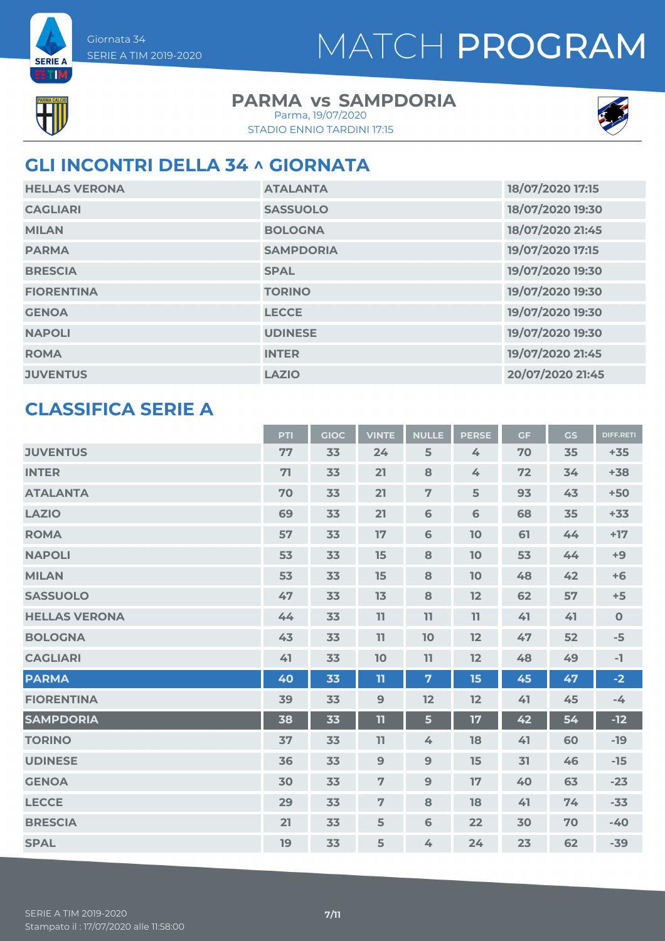**SERIE A ETM** 

#### **PARMA vs SAMPDORIA** Parma, 19/07/2020

STADIO ENNIO TARDINI 17:15



## **GLI INCONTRI DELLA 34 ^ GIORNATA**

| <b>HELLAS VERONA</b> | <b>ATALANTA</b>  | 18/07/2020 17:15 |
|----------------------|------------------|------------------|
| <b>CAGLIARI</b>      | <b>SASSUOLO</b>  | 18/07/2020 19:30 |
| <b>MILAN</b>         | <b>BOLOGNA</b>   | 18/07/2020 21:45 |
| <b>PARMA</b>         | <b>SAMPDORIA</b> | 19/07/2020 17:15 |
| <b>BRESCIA</b>       | <b>SPAL</b>      | 19/07/2020 19:30 |
| <b>FIORENTINA</b>    | <b>TORINO</b>    | 19/07/2020 19:30 |
| <b>GENOA</b>         | <b>LECCE</b>     | 19/07/2020 19:30 |
| <b>NAPOLI</b>        | <b>UDINESE</b>   | 19/07/2020 19:30 |
| <b>ROMA</b>          | <b>INTER</b>     | 19/07/2020 21:45 |
| <b>JUVENTUS</b>      | <b>LAZIO</b>     | 20/07/2020 21:45 |

### **CLASSIFICA SERIE A**

|                      | PTI | <b>GIOC</b> | <b>VINTE</b>   | <b>NULLE</b>     | <b>PERSE</b> | <b>GF</b> | <b>GS</b> | <b>DIFF.RETI</b> |
|----------------------|-----|-------------|----------------|------------------|--------------|-----------|-----------|------------------|
| <b>JUVENTUS</b>      | 77  | 33          | 24             | 5                | 4            | 70        | 35        | $+35$            |
| <b>INTER</b>         | 71  | 33          | 21             | 8                | 4            | 72        | 34        | $+38$            |
| <b>ATALANTA</b>      | 70  | 33          | 21             | $\overline{7}$   | 5            | 93        | 43        | $+50$            |
| <b>LAZIO</b>         | 69  | 33          | 21             | 6                | 6            | 68        | 35        | $+33$            |
| <b>ROMA</b>          | 57  | 33          | 17             | $\mathbf 6$      | 10           | 61        | 44        | $+17$            |
| <b>NAPOLI</b>        | 53  | 33          | 15             | 8                | 10           | 53        | 44        | $+9$             |
| <b>MILAN</b>         | 53  | 33          | 15             | 8                | 10           | 48        | 42        | $+6$             |
| <b>SASSUOLO</b>      | 47  | 33          | 13             | 8                | 12           | 62        | 57        | $+5$             |
| <b>HELLAS VERONA</b> | 44  | 33          | 11             | 11               | 11           | 41        | 41        | $\mathbf 0$      |
| <b>BOLOGNA</b>       | 43  | 33          | 11             | 10               | 12           | 47        | 52        | $-5$             |
| <b>CAGLIARI</b>      | 41  | 33          | 10             | 11               | 12           | 48        | 49        | $-1$             |
| <b>PARMA</b>         | 40  | 33          | 11             | $\overline{7}$   | 15           | 45        | 47        | $-2$             |
| <b>FIORENTINA</b>    | 39  | 33          | 9              | 12               | 12           | 41        | 45        | $-4$             |
| <b>SAMPDORIA</b>     | 38  | 33          | 11             | 5                | 17           | 42        | 54        | $-12$            |
| <b>TORINO</b>        | 37  | 33          | 11             | $\measuredangle$ | 18           | 41        | 60        | $-19$            |
| <b>UDINESE</b>       | 36  | 33          | 9              | $\overline{9}$   | 15           | 31        | 46        | $-15$            |
| <b>GENOA</b>         | 30  | 33          | $\overline{7}$ | $\overline{9}$   | 17           | 40        | 63        | $-23$            |
| <b>LECCE</b>         | 29  | 33          | $\overline{7}$ | 8                | 18           | 41        | 74        | $-33$            |
| <b>BRESCIA</b>       | 21  | 33          | 5              | 6                | 22           | 30        | 70        | $-40$            |
| <b>SPAL</b>          | 19  | 33          | 5              | 4                | 24           | 23        | 62        | $-39$            |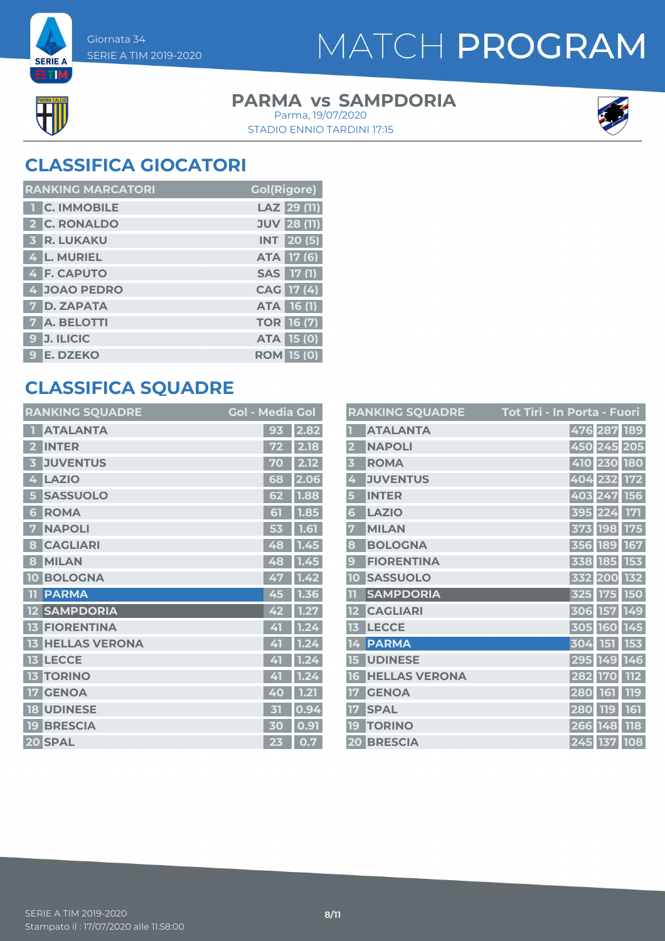

**SERIE A BETTM** 

## MATCH PROGRAM

#### **PARMA vs SAMPDORIA** STADIO ENNIO TARDINI 17:15 Parma, 19/07/2020



## **CLASSIFICA GIOCATORI**

| <b>RANKING MARCATORI</b> | <b>Gol(Rigore)</b> |
|--------------------------|--------------------|
| <b>T</b> C. IMMOBILE     | LAZ 29 (11)        |
| 2 C. RONALDO             | <b>JUV 28 (11)</b> |
| 3 R. LUKAKU              | <b>INT</b> 20(5)   |
| 4 L. MURIEL              | ATA 17 (6)         |
| 4 F. CAPUTO              | SAS 17 (1)         |
| 4 JOAO PEDRO             | CAG 17 (4)         |
| <b>7 D. ZAPATA</b>       | ATA 16 (1)         |
| <b>7</b> A. BELOTTI      | <b>TOR 16 (7)</b>  |
| 9 J. ILICIC              | <b>ATA 15 (0)</b>  |
| 9 E. DZEKO               | <b>ROM 15 (0)</b>  |

### **CLASSIFICA SQUADRE**

| <b>RANKING SQUADRE</b>     | <b>Gol - Media Gol</b> |                       |
|----------------------------|------------------------|-----------------------|
| <b>ATALANTA</b>            | 93                     | 2.82                  |
| <b>INTER</b><br>2          | 72                     | 2.18                  |
| <b>JUVENTUS</b><br>Б       | 70                     | 2.12                  |
| <b>LAZIO</b><br>4          | 68                     | 2.06                  |
| <b>SASSUOLO</b><br>5       | 62                     | 1.88                  |
| <b>ROMA</b><br>6           | 51                     | 1.85                  |
| <b>NAPOLI</b><br>7         | 53                     | 1.61                  |
| <b>CAGLIARI</b><br>8       | 48                     | 1.45                  |
| <b>MILAN</b><br>8          | 48                     | 1.45                  |
| <b>BOLOGNA</b><br>10       | 47                     | 1.42                  |
| <b>PARMA</b><br>m          | 45                     | 1.36                  |
| <b>SAMPDORIA</b>           | 42                     | 1.27                  |
| <b>FIORENTINA</b><br>13    | 41                     | 1.24                  |
| <b>HELLAS VERONA</b><br>13 | 41                     | 1.24                  |
| <b>LECCE</b><br>13         | 41                     | $\overline{1.2}$<br>4 |
| <b>TORINO</b><br>13        | 41                     | 1.24                  |
| <b>GENOA</b><br>17         | 40                     | 1.21                  |
| <b>UDINESE</b><br>18       | 才                      | 0.94                  |
| <b>BRESCIA</b><br>19       | 30                     | 0.91                  |
| 20 SPAL                    | 23                     | 0.7                   |

|                         | <b>RANKING SQUADRE</b> | <u> Tot Tiri - In Porta - Fuori</u> |         |             |            |
|-------------------------|------------------------|-------------------------------------|---------|-------------|------------|
|                         | <b>ATALANTA</b>        |                                     |         | 476 287 189 |            |
| $\overline{\mathbf{2}}$ | <b>NAPOLI</b>          |                                     |         | 450 245 205 |            |
| $\overline{\mathbf{3}}$ | <b>ROMA</b>            |                                     |         | 410 230 180 |            |
| 4                       | <b>JUVENTUS</b>        |                                     |         | 404 232     | <b>172</b> |
| 5                       | <b>INTER</b>           |                                     |         | 403 247 156 |            |
| 6                       | <b>LAZIO</b>           |                                     |         | 395 224     | <b>171</b> |
| 7                       | <b>MILAN</b>           |                                     |         | 373 198     | <b>175</b> |
| 8                       | <b>BOLOGNA</b>         |                                     |         | 356 189 167 |            |
| 9                       | <b>FIORENTINA</b>      |                                     |         | 338 185     | 153        |
| 10                      | <b>SASSUOLO</b>        |                                     |         | 332 200     | 132        |
|                         | <b>SAMPDORIA</b>       |                                     |         | 325 175 150 |            |
| 12                      | <b>CAGLIARI</b>        |                                     |         | 306 157 149 |            |
| 13                      | <b>LECCE</b>           |                                     |         | 305 160 145 |            |
| 14                      | <b>PARMA</b>           |                                     |         | 304 151     | 153        |
| 15                      | <b>UDINESE</b>         |                                     |         | 295 149     | 146        |
| 16                      | <b>HELLAS VERONA</b>   |                                     | 282 170 |             | <b>112</b> |
| 17                      | <b>GENOA</b>           |                                     | 280 161 |             | <b>119</b> |
| 17                      | <b>SPAL</b>            |                                     |         | 280 119     | 161        |
| 19                      | <b>TORINO</b>          |                                     | 266 148 |             | <b>118</b> |
|                         | <b>20 BRESCIA</b>      |                                     |         | 245 137     | 108        |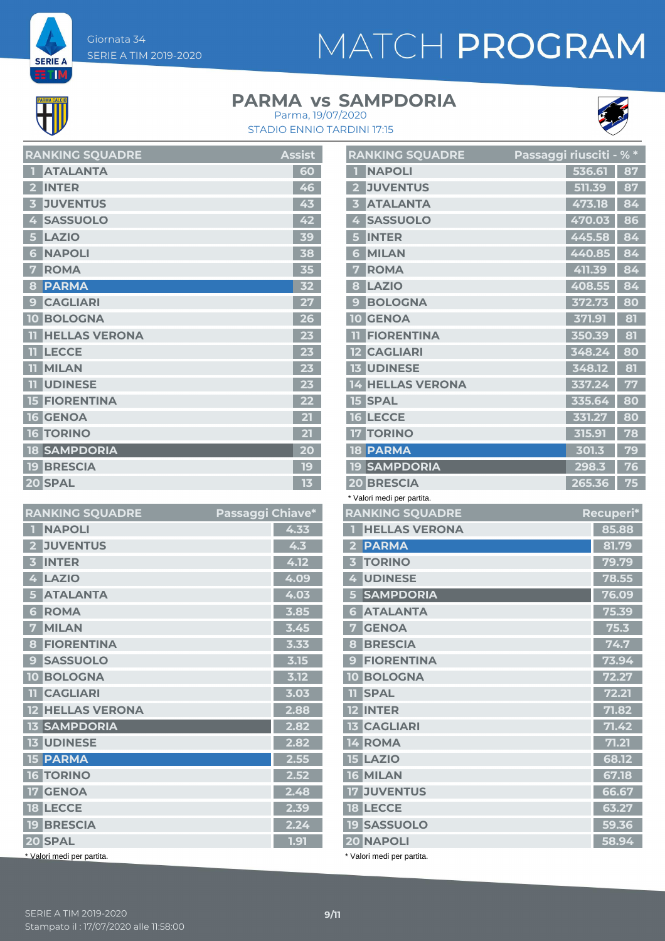Giornata 34 SERIE A TIM 2019-2020

# MATCH PROGRAM

**SERIE A ETM** 

### **PARMA vs SAMPDORIA**



STADIO ENNIO TARDINI 17:15 Parma, 19/07/2020

| <b>RANKING SQUADRE</b>                  | <b>Assist</b> |
|-----------------------------------------|---------------|
| <b>ATALANTA</b><br>П                    | 60            |
| <b>INTER</b><br>$\overline{\mathbf{z}}$ | 46            |
| <b>JUVENTUS</b><br>3                    | 43            |
| <b>SASSUOLO</b><br>4                    | 42            |
| <b>LAZIO</b><br>5                       | 39            |
| <b>NAPOLI</b><br>6                      | 38            |
| <b>ROMA</b>                             | 35            |
| <b>PARMA</b><br>8                       | 32            |
| <b>CAGLIARI</b><br>9                    | 27            |
| <b>10 BOLOGNA</b>                       | 26            |
| <b>HELLAS VERONA</b><br>11              | 23            |
| <b>LECCE</b><br>11                      | 23            |
| <b>MILAN</b><br>TT                      | 23            |
| <b>UDINESE</b><br>m                     | 23            |
| <b>15 FIORENTINA</b>                    | 22            |
| <b>16 GENOA</b>                         | 21            |
| <b>16 TORINO</b>                        | 21            |
| <b>18 SAMPDORIA</b>                     | 20            |
| <b>19 BRESCIA</b>                       | 19            |
| 20 SPAL                                 | 13            |

| <b>RANKING SQUADRE</b>              | Passaggi Chiave* |      |
|-------------------------------------|------------------|------|
| <b>NAPOLI</b><br>$\hat{\mathbf{v}}$ |                  | 4.33 |
| <b>JUVENTUS</b><br>$\overline{2}$   |                  | 4.3  |
| <b>INTER</b><br>3                   |                  | 4.12 |
| <b>LAZIO</b><br>4                   |                  | 4.09 |
| <b>ATALANTA</b><br>5                |                  | 4.03 |
| <b>ROMA</b><br>6                    |                  | 3.85 |
| <b>MILAN</b><br>7                   |                  | 3.45 |
| <b>FIORENTINA</b><br>8              |                  | 3.33 |
| <b>SASSUOLO</b><br>9                |                  | 3.15 |
| <b>10 BOLOGNA</b>                   |                  | 3.12 |
| <b>TI CAGLIARI</b>                  |                  | 3.03 |
| <b>12 HELLAS VERONA</b>             |                  | 2.88 |
| <b>13 SAMPDORIA</b>                 |                  | 2.82 |
| <b>13 UDINESE</b>                   |                  | 2.82 |
| <b>15 PARMA</b>                     |                  | 2.55 |
| <b>16 TORINO</b>                    |                  | 2.52 |
| <b>17 GENOA</b>                     |                  | 2.48 |
| <b>18 LECCE</b>                     |                  | 2.39 |
| <b>19 BRESCIA</b>                   |                  | 2.24 |
| 20 SPAL                             |                  | 1.91 |
| * Valori medi per partita.          |                  |      |

| <b>RANKING SQUADRE</b>                     | Passaggi riusciti - % * |    |
|--------------------------------------------|-------------------------|----|
| <b>NAPOLI</b>                              | 536.61                  | 87 |
| <b>JUVENTUS</b><br>$\overline{\mathbf{2}}$ | 511.39                  | 87 |
| <b>ATALANTA</b><br>3                       | 473.18                  | 84 |
| <b>SASSUOLO</b><br>4                       | 470.03                  | 86 |
| <b>INTER</b><br>5                          | 445.58                  | 84 |
| <b>MILAN</b><br>6                          | 440.85                  | 84 |
| <b>ROMA</b><br>7                           | 411.39                  | 84 |
| <b>LAZIO</b><br>8                          | 408.55                  | 84 |
| <b>BOLOGNA</b><br>9                        | 372.73                  | 80 |
| <b>GENOA</b><br>10                         | 371.91                  | 81 |
| <b>FIORENTINA</b><br>m                     | 350.39                  | 81 |
| <b>12 CAGLIARI</b>                         | 348.24                  | 80 |
| <b>13 UDINESE</b>                          | 348.12                  | 81 |
| <b>HELLAS VERONA</b><br>14                 | 337.24                  | 77 |
| <b>SPAL</b><br>15 <sup>1</sup>             | 335.64                  | 80 |
| <b>16 LECCE</b>                            | 331.27                  | 80 |
| <b>17 TORINO</b>                           | 315.91                  | 78 |
| <b>18 PARMA</b>                            | 301.3                   | 79 |
| <b>19 SAMPDORIA</b>                        | 298.3                   | 76 |
| <b>20 BRESCIA</b>                          | 265.36                  | 75 |

\* Valori medi per partita.

| <b>RANKING SQUADRE</b>            | Recuperi* |
|-----------------------------------|-----------|
| <b>HELLAS VERONA</b>              | 85.88     |
| <b>PARMA</b><br>$\mathbf{z}$      | 81.79     |
| <b>TORINO</b><br>3                | 79.79     |
| <b>UDINESE</b><br>4               | 78.55     |
| <b>SAMPDORIA</b><br>5             | 76.09     |
| <b>ATALANTA</b><br>6              | 75.39     |
| <b>GENOA</b><br>7                 | 75.3      |
| <b>BRESCIA</b><br>8               | 74.7      |
| <b>FIORENTINA</b><br>9            | 73.94     |
| <b>BOLOGNA</b><br>10 <sup>°</sup> | 72.27     |
| <b>TI SPAL</b>                    | 72.21     |
| 12 INTER                          | 71.82     |
| <b>13 CAGLIARI</b>                | 71.42     |
| 14 ROMA                           | 71.21     |
| <b>15 LAZIO</b>                   | 68.12     |
| 16 MILAN                          | 67.18     |
| <b>17 JUVENTUS</b>                | 66.67     |
| <b>18 LECCE</b>                   | 63.27     |
| <b>19 SASSUOLO</b>                | 59.36     |
| 20 NAPOLI                         | 58.94     |
|                                   |           |

Valori medi per partita.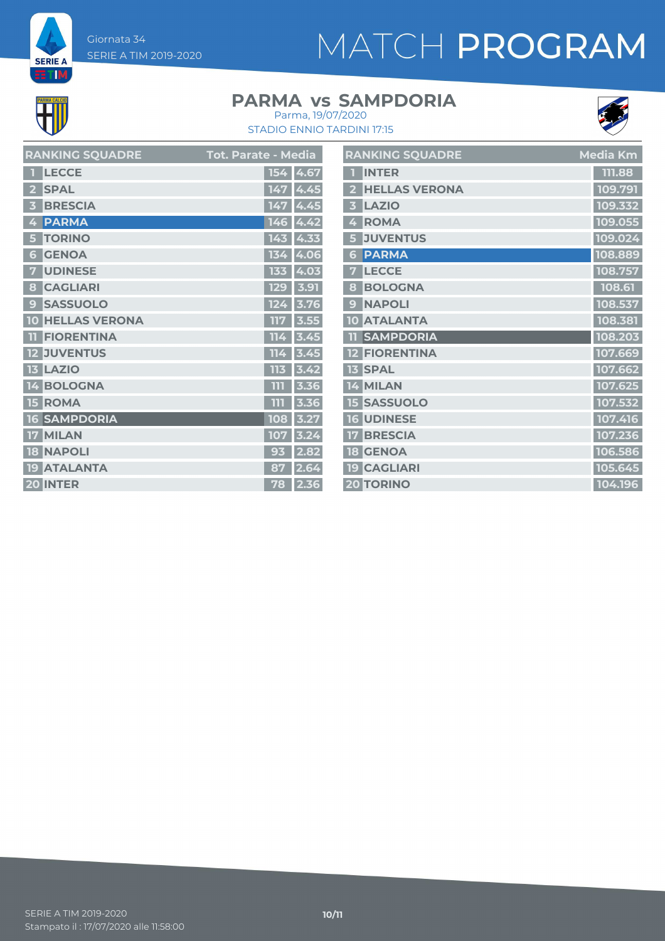Giornata 34 SERIE A TIM 2019-2020

# MATCH PROGRAM



**SERIE A ETIM** 

### **PARMA vs SAMPDORIA**



STADIO ENNIO TARDINI 17:15 Parma, 19/07/2020

| <b>RANKING SQUADRE</b>  | <b>Tot. Parate - Media</b>                                          | <b>RANKING SQUADRE</b>           | <b>Media Km</b> |
|-------------------------|---------------------------------------------------------------------|----------------------------------|-----------------|
| <b>1 LECCE</b>          | 154 4.67                                                            | <b>1 INTER</b>                   | 111.88          |
| 2 SPAL                  | 147 4.45                                                            | 2 HELLAS VERONA                  | 109.791         |
| <b>3 BRESCIA</b>        | 147 4.45                                                            | LAZIO<br>$\overline{\mathbf{3}}$ | 109.332         |
| 4 PARMA                 | $146$ 4.42                                                          | 4 ROMA                           | 109.055         |
| <b>5 TORINO</b>         | $143$ 4.33                                                          | 5 JUVENTUS                       | 109.024         |
| <b>6 GENOA</b>          | 134 4.06                                                            | 6 PARMA                          | 108.889         |
| 7 UDINESE               | 133 4.03                                                            | 7 LECCE                          | 108.757         |
| 8 CAGLIARI              | $\begin{array}{ c c c }\n\hline\n129 & 3.91 \\ \hline\n\end{array}$ | 8 BOLOGNA                        | 108.61          |
| <b>9 SASSUOLO</b>       | 124 3.76                                                            | 9 NAPOLI                         | 108.537         |
| <b>10 HELLAS VERONA</b> | 117 3.55                                                            | 10 ATALANTA                      | 108.381         |
| <b>TI FIORENTINA</b>    | $114$ 3.45                                                          | <b>11 SAMPDORIA</b>              | 108.203         |
| <b>12 JUVENTUS</b>      | $114$ 3.45                                                          | <b>12 FIORENTINA</b>             | 107.669         |
| <b>13 LAZIO</b>         | 113 3.42                                                            | <b>13 SPAL</b>                   | 107.662         |
| 14 BOLOGNA              | $111$ 3.36                                                          | 14 MILAN                         | 107.625         |
| <b>15 ROMA</b>          | $111$ 3.36                                                          | <b>15 SASSUOLO</b>               | 107.532         |
| <b>16 SAMPDORIA</b>     | 108 3.27                                                            | <b>16 UDINESE</b>                | 107.416         |
| 17 MILAN                | 107 3.24                                                            | <b>17 BRESCIA</b>                | 107.236         |
| <b>18 NAPOLI</b>        | $93$ 2.82                                                           | <b>18 GENOA</b>                  | 106.586         |
| <b>19 ATALANTA</b>      | 87 2.64                                                             | <b>19 CAGLIARI</b>               | 105.645         |
| 20 INTER                | 78 2.36                                                             | <b>20 TORINO</b>                 | 104.196         |